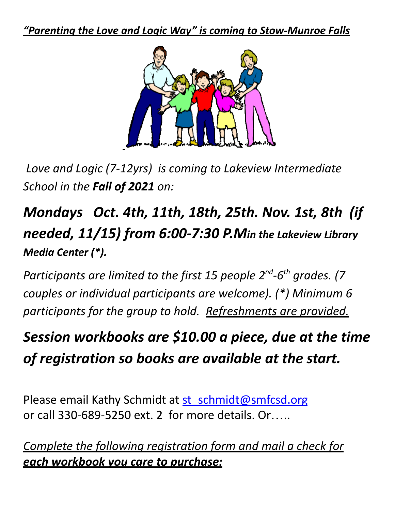*"Parenting the Love and Logic Way" is coming to Stow-Munroe Falls*



*Love and Logic (7-12yrs) is coming to Lakeview Intermediate School in the Fall of 2021 on:*

*Mondays Oct. 4th, 11th, 18th, 25th. Nov. 1st, 8th (if needed, 11/15) from 6:00-7:30 P.Min the Lakeview Library Media Center (\*).*

*Participants are limited to the first 15 people 2 nd -6 th grades. (7 couples or individual participants are welcome). (\*) Minimum 6 participants for the group to hold. Refreshments are provided.*

*Session workbooks are \$10.00 a piece, due at the time of registration so books are available at the start.*

Please email Kathy Schmidt at [st\\_schmidt@smfcsd.org](mailto:st_schmidt@smfcsd.org) or call 330-689-5250 ext. 2 for more details. Or…..

*Complete the following registration form and mail a check for each workbook you care to purchase:*